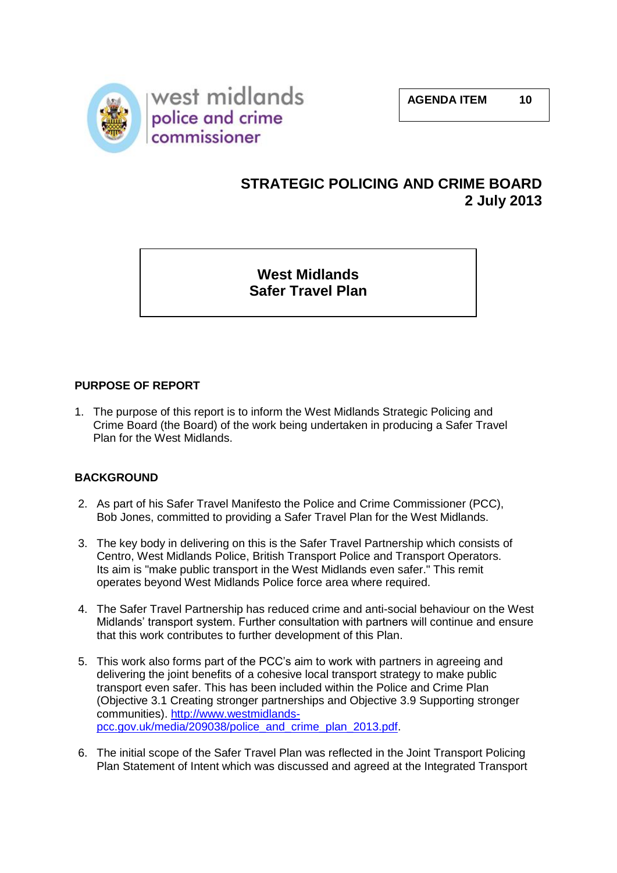

# **STRATEGIC POLICING AND CRIME BOARD 2 July 2013**

**West Midlands Safer Travel Plan**

# **PURPOSE OF REPORT**

1. The purpose of this report is to inform the West Midlands Strategic Policing and Crime Board (the Board) of the work being undertaken in producing a Safer Travel Plan for the West Midlands.

# **BACKGROUND**

- 2. As part of his Safer Travel Manifesto the Police and Crime Commissioner (PCC), Bob Jones, committed to providing a Safer Travel Plan for the West Midlands.
- 3. The key body in delivering on this is the Safer Travel Partnership which consists of Centro, West Midlands Police, British Transport Police and Transport Operators. Its aim is "make public transport in the West Midlands even safer." This remit operates beyond West Midlands Police force area where required.
- 4. The Safer Travel Partnership has reduced crime and anti-social behaviour on the West Midlands' transport system. Further consultation with partners will continue and ensure that this work contributes to further development of this Plan.
- 5. This work also forms part of the PCC's aim to work with partners in agreeing and delivering the joint benefits of a cohesive local transport strategy to make public transport even safer. This has been included within the Police and Crime Plan (Objective 3.1 Creating stronger partnerships and Objective 3.9 Supporting stronger communities). [http://www.westmidlands](http://www.westmidlands-pcc.gov.uk/media/209038/police_and_crime_plan_2013.pdf)[pcc.gov.uk/media/209038/police\\_and\\_crime\\_plan\\_2013.pdf.](http://www.westmidlands-pcc.gov.uk/media/209038/police_and_crime_plan_2013.pdf)
- 6. The initial scope of the Safer Travel Plan was reflected in the Joint Transport Policing Plan Statement of Intent which was discussed and agreed at the Integrated Transport